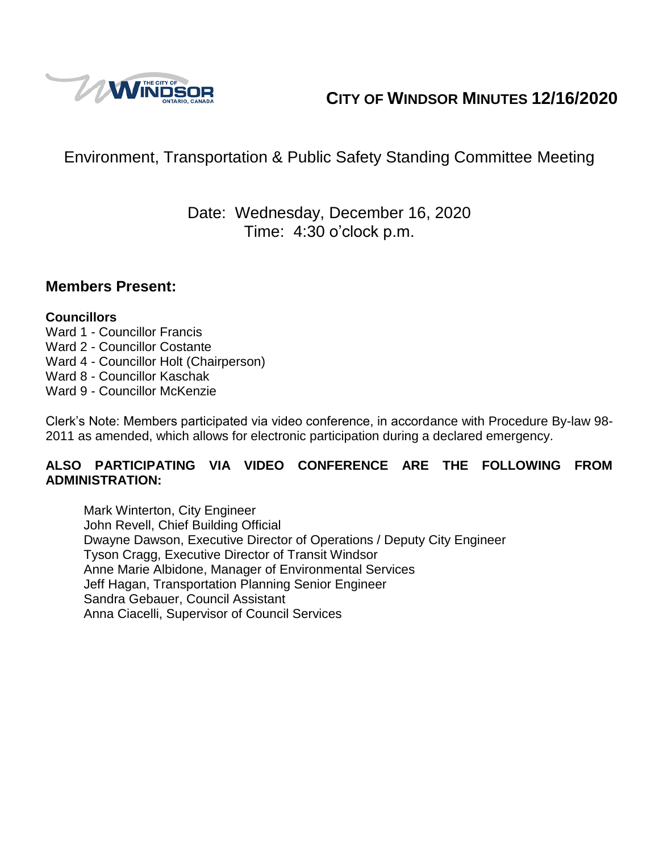

# **CITY OF WINDSOR MINUTES 12/16/2020**

# Environment, Transportation & Public Safety Standing Committee Meeting

## Date: Wednesday, December 16, 2020 Time: 4:30 o'clock p.m.

### **Members Present:**

#### **Councillors**

- Ward 1 Councillor Francis
- Ward 2 Councillor Costante
- Ward 4 Councillor Holt (Chairperson)
- Ward 8 Councillor Kaschak
- Ward 9 Councillor McKenzie

Clerk's Note: Members participated via video conference, in accordance with Procedure By-law 98- 2011 as amended, which allows for electronic participation during a declared emergency.

#### **ALSO PARTICIPATING VIA VIDEO CONFERENCE ARE THE FOLLOWING FROM ADMINISTRATION:**

Mark Winterton, City Engineer John Revell, Chief Building Official Dwayne Dawson, Executive Director of Operations / Deputy City Engineer Tyson Cragg, Executive Director of Transit Windsor Anne Marie Albidone, Manager of Environmental Services Jeff Hagan, Transportation Planning Senior Engineer Sandra Gebauer, Council Assistant Anna Ciacelli, Supervisor of Council Services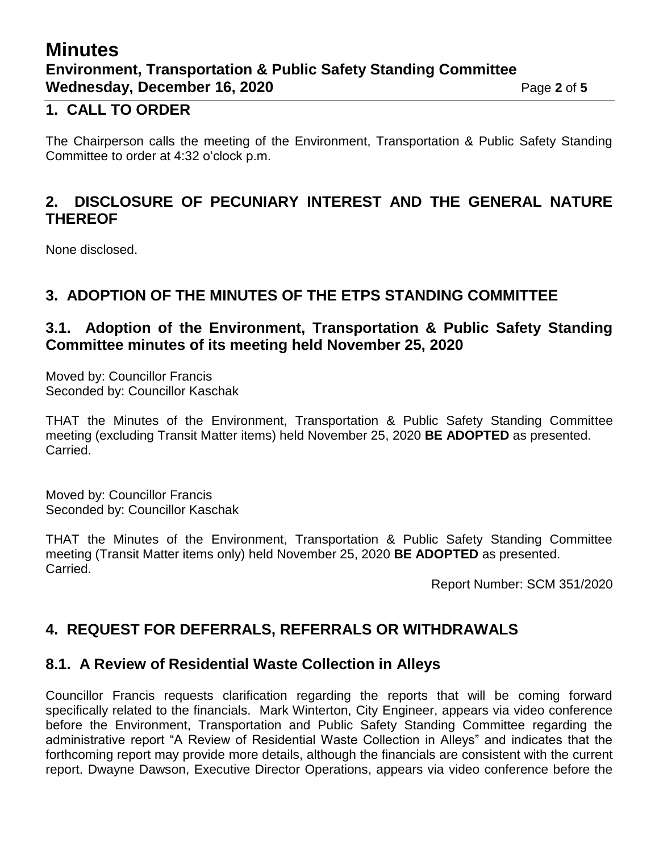## **Minutes Environment, Transportation & Public Safety Standing Committee Wednesday, December 16, 2020** Page 2 of 5

### **1. CALL TO ORDER**

The Chairperson calls the meeting of the Environment, Transportation & Public Safety Standing Committee to order at 4:32 o'clock p.m.

### **2. DISCLOSURE OF PECUNIARY INTEREST AND THE GENERAL NATURE THEREOF**

None disclosed.

### **3. ADOPTION OF THE MINUTES OF THE ETPS STANDING COMMITTEE**

### **3.1. Adoption of the Environment, Transportation & Public Safety Standing Committee minutes of its meeting held November 25, 2020**

Moved by: Councillor Francis Seconded by: Councillor Kaschak

THAT the Minutes of the Environment, Transportation & Public Safety Standing Committee meeting (excluding Transit Matter items) held November 25, 2020 **BE ADOPTED** as presented. Carried.

Moved by: Councillor Francis Seconded by: Councillor Kaschak

THAT the Minutes of the Environment, Transportation & Public Safety Standing Committee meeting (Transit Matter items only) held November 25, 2020 **BE ADOPTED** as presented. Carried.

Report Number: SCM 351/2020

### **4. REQUEST FOR DEFERRALS, REFERRALS OR WITHDRAWALS**

#### **8.1. A Review of Residential Waste Collection in Alleys**

Councillor Francis requests clarification regarding the reports that will be coming forward specifically related to the financials. Mark Winterton, City Engineer, appears via video conference before the Environment, Transportation and Public Safety Standing Committee regarding the administrative report "A Review of Residential Waste Collection in Alleys" and indicates that the forthcoming report may provide more details, although the financials are consistent with the current report. Dwayne Dawson, Executive Director Operations, appears via video conference before the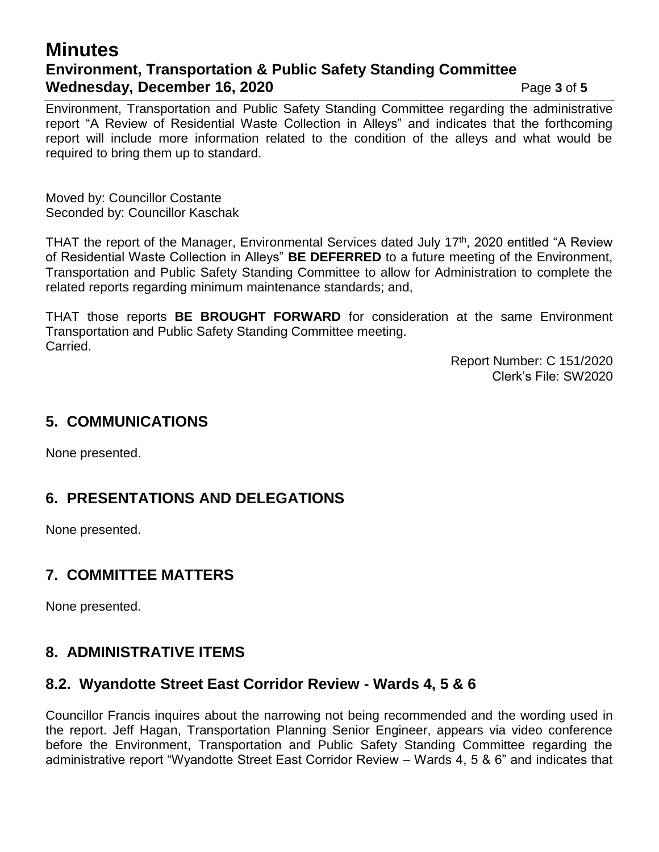## **Minutes Environment, Transportation & Public Safety Standing Committee Wednesday, December 16, 2020** Page 3 of 5

Environment, Transportation and Public Safety Standing Committee regarding the administrative report "A Review of Residential Waste Collection in Alleys" and indicates that the forthcoming report will include more information related to the condition of the alleys and what would be required to bring them up to standard.

Moved by: Councillor Costante Seconded by: Councillor Kaschak

THAT the report of the Manager, Environmental Services dated July 17<sup>th</sup>, 2020 entitled "A Review of Residential Waste Collection in Alleys" **BE DEFERRED** to a future meeting of the Environment, Transportation and Public Safety Standing Committee to allow for Administration to complete the related reports regarding minimum maintenance standards; and,

THAT those reports **BE BROUGHT FORWARD** for consideration at the same Environment Transportation and Public Safety Standing Committee meeting. Carried.

> Report Number: C 151/2020 Clerk's File: SW2020

#### **5. COMMUNICATIONS**

None presented.

## **6. PRESENTATIONS AND DELEGATIONS**

None presented.

### **7. COMMITTEE MATTERS**

None presented.

## **8. ADMINISTRATIVE ITEMS**

### **8.2. Wyandotte Street East Corridor Review - Wards 4, 5 & 6**

Councillor Francis inquires about the narrowing not being recommended and the wording used in the report. Jeff Hagan, Transportation Planning Senior Engineer, appears via video conference before the Environment, Transportation and Public Safety Standing Committee regarding the administrative report "Wyandotte Street East Corridor Review – Wards 4, 5 & 6" and indicates that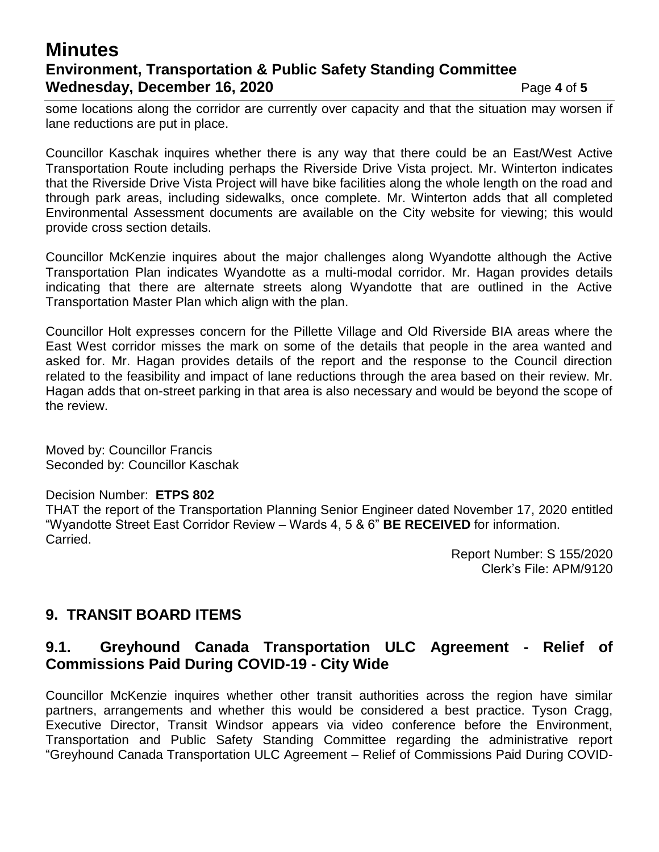## **Minutes Environment, Transportation & Public Safety Standing Committee Wednesday, December 16, 2020** Page 4 of 5

some locations along the corridor are currently over capacity and that the situation may worsen if lane reductions are put in place.

Councillor Kaschak inquires whether there is any way that there could be an East/West Active Transportation Route including perhaps the Riverside Drive Vista project. Mr. Winterton indicates that the Riverside Drive Vista Project will have bike facilities along the whole length on the road and through park areas, including sidewalks, once complete. Mr. Winterton adds that all completed Environmental Assessment documents are available on the City website for viewing; this would provide cross section details.

Councillor McKenzie inquires about the major challenges along Wyandotte although the Active Transportation Plan indicates Wyandotte as a multi-modal corridor. Mr. Hagan provides details indicating that there are alternate streets along Wyandotte that are outlined in the Active Transportation Master Plan which align with the plan.

Councillor Holt expresses concern for the Pillette Village and Old Riverside BIA areas where the East West corridor misses the mark on some of the details that people in the area wanted and asked for. Mr. Hagan provides details of the report and the response to the Council direction related to the feasibility and impact of lane reductions through the area based on their review. Mr. Hagan adds that on-street parking in that area is also necessary and would be beyond the scope of the review.

Moved by: Councillor Francis Seconded by: Councillor Kaschak

#### Decision Number: **ETPS 802**

THAT the report of the Transportation Planning Senior Engineer dated November 17, 2020 entitled "Wyandotte Street East Corridor Review – Wards 4, 5 & 6" **BE RECEIVED** for information. Carried.

> Report Number: S 155/2020 Clerk's File: APM/9120

### **9. TRANSIT BOARD ITEMS**

### **9.1. Greyhound Canada Transportation ULC Agreement - Relief of Commissions Paid During COVID-19 - City Wide**

Councillor McKenzie inquires whether other transit authorities across the region have similar partners, arrangements and whether this would be considered a best practice. Tyson Cragg, Executive Director, Transit Windsor appears via video conference before the Environment, Transportation and Public Safety Standing Committee regarding the administrative report "Greyhound Canada Transportation ULC Agreement – Relief of Commissions Paid During COVID-